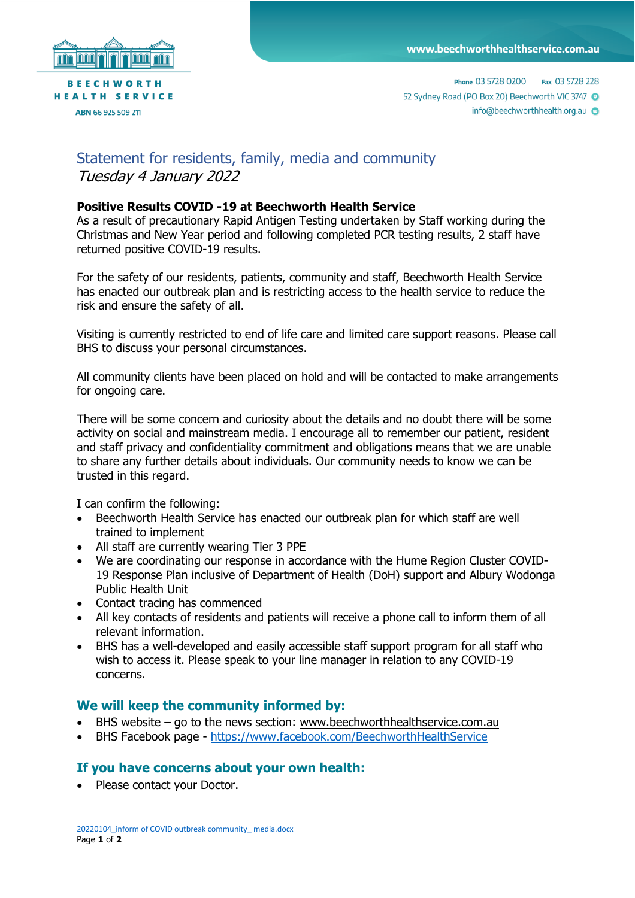

## Statement for residents, family, media and community Tuesday 4 January 2022

## **Positive Results COVID -19 at Beechworth Health Service**

As a result of precautionary Rapid Antigen Testing undertaken by Staff working during the Christmas and New Year period and following completed PCR testing results, 2 staff have returned positive COVID-19 results.

For the safety of our residents, patients, community and staff, Beechworth Health Service has enacted our outbreak plan and is restricting access to the health service to reduce the risk and ensure the safety of all.

Visiting is currently restricted to end of life care and limited care support reasons. Please call BHS to discuss your personal circumstances.

All community clients have been placed on hold and will be contacted to make arrangements for ongoing care.

There will be some concern and curiosity about the details and no doubt there will be some activity on social and mainstream media. I encourage all to remember our patient, resident and staff privacy and confidentiality commitment and obligations means that we are unable to share any further details about individuals. Our community needs to know we can be trusted in this regard.

I can confirm the following:

- Beechworth Health Service has enacted our outbreak plan for which staff are well trained to implement
- All staff are currently wearing Tier 3 PPE
- We are coordinating our response in accordance with the Hume Region Cluster COVID-19 Response Plan inclusive of Department of Health (DoH) support and Albury Wodonga Public Health Unit
- Contact tracing has commenced
- All key contacts of residents and patients will receive a phone call to inform them of all relevant information.
- BHS has a well-developed and easily accessible staff support program for all staff who wish to access it. Please speak to your line manager in relation to any COVID-19 concerns.

## **We will keep the community informed by:**

- BHS website go to the news section: [www.beechworthhealthservice.com.au](http://www.beechworthhealthservice.com.au/)
- BHS Facebook page <https://www.facebook.com/BeechworthHealthService>

## **If you have concerns about your own health:**

• Please contact your Doctor.